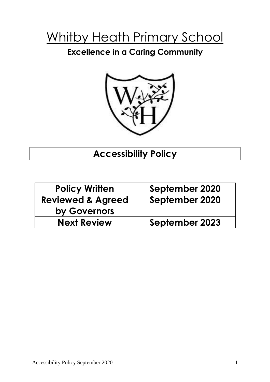# Whitby Heath Primary School

## **Excellence in a Caring Community**



# **Accessibility Policy**

| <b>Policy Written</b>        | September 2020 |  |  |
|------------------------------|----------------|--|--|
| <b>Reviewed &amp; Agreed</b> | September 2020 |  |  |
| by Governors                 |                |  |  |
| <b>Next Review</b>           | September 2023 |  |  |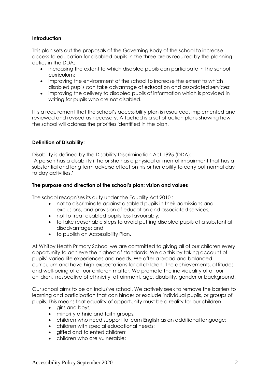#### **Introduction**

This plan sets out the proposals of the Governing Body of the school to increase access to education for disabled pupils in the three areas required by the planning duties in the DDA:

- increasing the extent to which disabled pupils can participate in the school curriculum;
- improving the environment of the school to increase the extent to which disabled pupils can take advantage of education and associated services;
- improving the delivery to disabled pupils of information which is provided in writing for pupils who are not disabled.

It is a requirement that the school's accessibility plan is resourced, implemented and reviewed and revised as necessary. Attached is a set of action plans showing how the school will address the priorities identified in the plan.

#### **Definition of Disability:**

Disability is defined by the Disability Discrimination Act 1995 (DDA): 'A person has a disability if he or she has a physical or mental impairment that has a substantial and long term adverse effect on his or her ability to carry out normal day to day activities.'

#### **The purpose and direction of the school's plan: vision and values**

The school recognises its duty under the Equality Act 2010 :

- not to discriminate against disabled pupils in their admissions and exclusions, and provision of education and associated services;
- not to treat disabled pupils less favourably;
- to take reasonable steps to avoid putting disabled pupils at a substantial disadvantage; and
- to publish an Accessibility Plan.

At Whitby Heath Primary School we are committed to giving all of our children every opportunity to achieve the highest of standards. We do this by taking account of pupils' varied life experiences and needs. We offer a broad and balanced curriculum and have high expectations for all children. The achievements, attitudes and well-being of all our children matter. We promote the individuality of all our children, irrespective of ethnicity, attainment, age, disability, gender or background.

Our school aims to be an inclusive school. We actively seek to remove the barriers to learning and participation that can hinder or exclude individual pupils, or groups of pupils. This means that equality of opportunity must be a reality for our children:

- girls and boys;
- minority ethnic and faith groups;
- children who need support to learn English as an additional language;
- children with special educational needs;
- aifted and talented children;
- children who are vulnerable;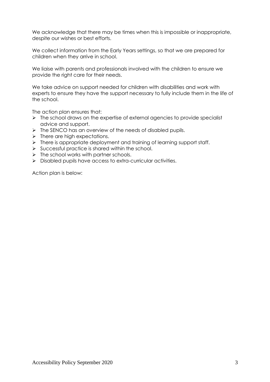We acknowledge that there may be times when this is impossible or inappropriate, despite our wishes or best efforts.

We collect information from the Early Years settings, so that we are prepared for children when they arrive in school.

We liaise with parents and professionals involved with the children to ensure we provide the right care for their needs.

We take advice on support needed for children with disabilities and work with experts to ensure they have the support necessary to fully include them in the life of the school.

The action plan ensures that:

- $\triangleright$  The school draws on the expertise of external agencies to provide specialist advice and support.
- $\triangleright$  The SENCO has an overview of the needs of disabled pupils.
- $\triangleright$  There are high expectations.
- $\triangleright$  There is appropriate deployment and training of learning support staff.
- $\triangleright$  Successful practice is shared within the school.
- $\triangleright$  The school works with partner schools.
- $\triangleright$  Disabled pupils have access to extra-curricular activities.

Action plan is below: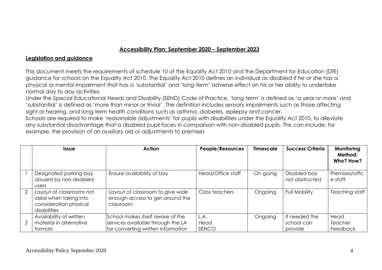### **Accessibility Plan: September 2020 – September 2023**

### **Legislation and guidance**

This document meets the requirements of schedule 10 of the Equality Act 2010 and the Department for Education (DfE) guidance for schools on the Equality Act 2010. The Equality Act 2010 defines an individual as disabled if he or she has a physical or mental impairment that has a 'substantial' and 'long-term' adverse effect on his or her ability to undertake normal day to day activities.

Under the Special Educational Needs and Disability (SEND) Code of Practice, 'long-term' is defined as 'a year or more' and 'substantial' is defined as 'more than minor or trivial'. The definition includes sensory impairments such as those affecting sight or hearing, and long-term health conditions such as asthma, diabetes, epilepsy and cancer.

Schools are required to make 'reasonable adjustments' for pupils with disabilities under the Equality Act 2010, to alleviate any substantial disadvantage that a disabled pupil faces in comparison with non-disabled pupils. This can include, for example, the provision of an auxiliary aid or adjustments to premises

|   | <b>Issue</b>                                                                                 | Action                                                                                                      | People/Resources      | <b>Timescale</b> | <b>Success Criteria</b>                | Monitoring<br>Method:<br>Who? How? |
|---|----------------------------------------------------------------------------------------------|-------------------------------------------------------------------------------------------------------------|-----------------------|------------------|----------------------------------------|------------------------------------|
|   | Designated parking bay<br>abused by non-disabled<br><b>Users</b>                             | Ensure availability of bay                                                                                  | Head/Office staff     | On going         | Disabled bay<br>not obstructed         | Premises/offic<br>e staff          |
| 2 | Layout of classrooms not<br>ideal when taking into<br>consideration physical<br>disabilities | Layout of classroom to give wide<br>enough access to get around the<br>classroom                            | Class teachers        | Ongoing          | <b>Full Mobility</b>                   | Teaching staff                     |
| 3 | Availability of written<br>material in alternative<br>formats                                | School makes itself aware of the<br>services available through the LA<br>for converting written information | L.A.<br>Head<br>SENCO | Ongoing          | If needed the<br>school can<br>provide | Head<br>Teacher<br>Feedback        |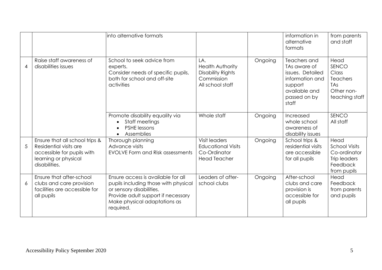|   |                                                                                                                                 | into alternative formats                                                                                                                                                                  |                                                                                       |         | information in<br>alternative<br>formats                                                                                 | from parents<br>and staff                                                               |
|---|---------------------------------------------------------------------------------------------------------------------------------|-------------------------------------------------------------------------------------------------------------------------------------------------------------------------------------------|---------------------------------------------------------------------------------------|---------|--------------------------------------------------------------------------------------------------------------------------|-----------------------------------------------------------------------------------------|
| 4 | Raise staff awareness of<br>disabilities issues                                                                                 | School to seek advice from<br>experts.<br>Consider needs of specific pupils,<br>both for school and off-site<br>activities                                                                | LA.<br>Health Authority<br><b>Disability Rights</b><br>Commission<br>All school staff | Ongoing | Teachers and<br>TAs aware of<br>issues. Detailed<br>information and<br>support<br>available and<br>passed on by<br>staff | Head<br>SENCO<br>Class<br><b>Teachers</b><br><b>TAs</b><br>Other non-<br>teaching staff |
|   |                                                                                                                                 | Promote disability equality via<br>Staff meetings<br>$\bullet$<br><b>PSHE lessons</b><br>Assemblies<br>$\bullet$                                                                          | Whole staff                                                                           | Ongoing | Increased<br>whole school<br>awareness of<br>disability issues                                                           | SENCO<br>All staff                                                                      |
| 5 | Ensure that all school trips &<br>Residential visits are<br>accessible for pupils with<br>learning or physical<br>disabilities. | Thorough planning<br>Advance visits<br><b>EVOLVE Form and Risk assessments</b>                                                                                                            | Visit leaders<br><b>Educational Visits</b><br>Co-Ordinator<br><b>Head Teacher</b>     | Ongoing | School trips &<br>residential visits<br>are accessible<br>for all pupils                                                 | Head<br><b>School Visits</b><br>Co-ordinator<br>Trip leaders<br>Feedback<br>from pupils |
| 6 | Ensure that after-school<br>clubs and care provision<br>facilities are accessible for<br>all pupils                             | Ensure access is available for all<br>pupils including those with physical<br>or sensory disabilities.<br>Provide adult support if necessary<br>Make physical adaptations as<br>required. | Leaders of after-<br>school clubs                                                     | Ongoing | After-school<br>clubs and care<br>provision is<br>accessible for<br>all pupils                                           | Head<br>Feedback<br>from parents<br>and pupils                                          |